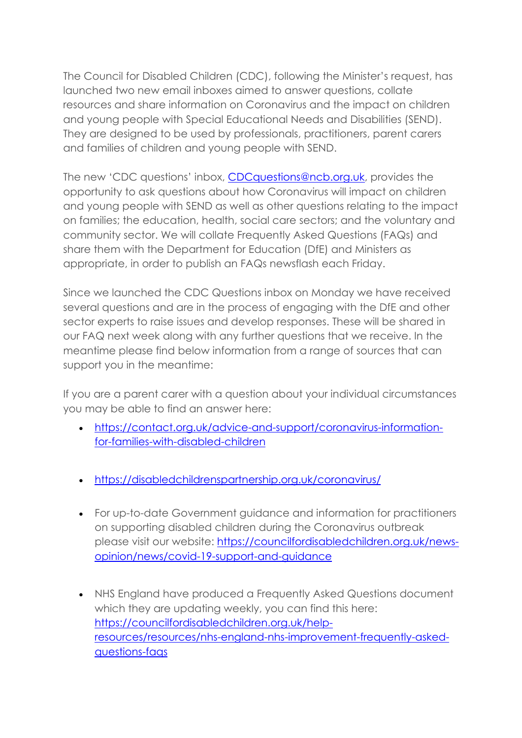The Council for Disabled Children (CDC), following the Minister's request, has launched two new email inboxes aimed to answer questions, collate resources and share information on Coronavirus and the impact on children and young people with Special Educational Needs and Disabilities (SEND). They are designed to be used by professionals, practitioners, parent carers and families of children and young people with SEND.

The new 'CDC questions' inbox, CDCquestions@ncb.org.uk, provides the opportunity to ask questions about how Coronavirus will impact on children and young people with SEND as well as other questions relating to the impact on families; the education, health, social care sectors; and the voluntary and community sector. We will collate Frequently Asked Questions (FAQs) and share them with the Department for Education (DfE) and Ministers as appropriate, in order to publish an FAQs newsflash each Friday.

Since we launched the CDC Questions inbox on Monday we have received several questions and are in the process of engaging with the DfE and other sector experts to raise issues and develop responses. These will be shared in our FAQ next week along with any further questions that we receive. In the meantime please find below information from a range of sources that can support you in the meantime:

If you are a parent carer with a question about your individual circumstances you may be able to find an answer here:

- https://contact.org.uk/advice-and-support/coronavirus-informationfor-families-with-disabled-children
- https://disabledchildrenspartnership.org.uk/coronavirus/
- For up-to-date Government guidance and information for practitioners on supporting disabled children during the Coronavirus outbreak please visit our website: https://councilfordisabledchildren.org.uk/newsopinion/news/covid-19-support-and-guidance
- NHS England have produced a Frequently Asked Questions document which they are updating weekly, you can find this here: https://councilfordisabledchildren.org.uk/helpresources/resources/nhs-england-nhs-improvement-frequently-askedquestions-faqs